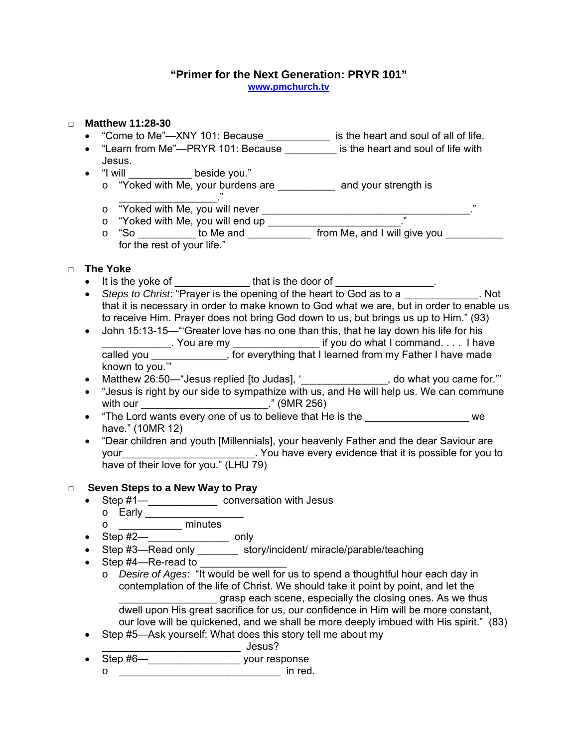#### **"Primer for the Next Generation: PRYR 101" [www.pmchurch.tv](http://www.pmchurch.tv/)**

### □ **Matthew 11:28-30**

- "Come to Me"—XNY 101: Because \_\_\_\_\_\_\_\_\_\_\_ is the heart and soul of all of life.
- "Learn from Me"—PRYR 101: Because is the heart and soul of life with Jesus.
- "I will \_\_\_\_\_\_\_\_\_\_\_\_\_ beside you."
	- o "Yoked with Me, your burdens are \_\_\_\_\_\_\_\_\_\_\_ and your strength is  $\overline{\phantom{a}}$
	- o "Yoked with Me, you will never \_\_\_\_\_\_\_\_\_\_\_\_\_\_\_\_\_\_\_\_\_\_\_\_\_\_\_\_\_\_\_\_\_\_\_\_."
	- o "Yoked with Me, you will end up \_\_\_\_\_\_\_\_\_\_\_\_\_\_\_\_\_\_\_\_\_\_\_."
	- $\circ$  "So \_\_\_\_\_\_\_\_\_\_\_\_\_ to Me and \_\_\_\_\_\_\_\_\_\_\_\_\_\_ from Me, and I will give you \_\_\_\_\_\_\_\_\_ for the rest of your life."

# □ **The Yoke**

- It is the yoke of that is the door of
- *Steps to Christ*: "Prayer is the opening of the heart to God as to a \_\_\_\_\_\_\_\_\_\_\_. Not that it is necessary in order to make known to God what we are, but in order to enable us to receive Him. Prayer does not bring God down to us, but brings us up to Him." (93)
- John 15:13-15— "Greater love has no one than this, that he lay down his life for his \_\_\_\_\_\_\_\_\_\_\_\_\_\_\_. You are my \_\_\_\_\_\_\_\_\_\_\_\_\_\_\_\_\_\_\_\_\_\_ if you do what I command. . . . I have called you \_\_\_\_\_\_\_\_\_\_\_\_\_, for everything that I learned from my Father I have made known to you.'"
- Matthew 26:50—"Jesus replied [to Judas], '\_\_\_\_\_\_\_\_\_\_\_\_\_\_\_, do what you came for."
- "Jesus is right by our side to sympathize with us, and He will help us. We can commune with our \_\_\_\_\_\_\_\_\_\_\_\_\_\_\_\_\_\_\_\_\_\_." (9MR 256)
- "The Lord wants every one of us to believe that He is the The Lord wants every one of us to believe that He is the have." (10MR 12)
- "Dear children and youth [Millennials], your heavenly Father and the dear Saviour are your vour and the settlement of the settlement of your settlement in the your to you to you to have of their love for you." (LHU 79)

## □ **Seven Steps to a New Way to Pray**

- Step #1—**\_\_\_\_\_\_\_\_\_\_\_\_\_\_** conversation with Jesus
	- o **Early Early Early Early Early Early Early Early Early Early Early Early Early Early Early Early Early Early Early Early Early Early Early Early Early Early Early Ear**
	- o \_\_\_\_\_\_\_\_\_\_\_ minutes
- Step #2—**\_\_\_\_\_\_\_\_\_\_\_\_\_\_\_** only
- Step #3—Read only \_\_\_\_\_\_\_\_ story/incident/ miracle/parable/teaching
- Step  $#4$ —Re-read to
	- o *Desire of Ages*: "It would be well for us to spend a thoughtful hour each day in contemplation of the life of Christ. We should take it point by point, and let the grasp each scene, especially the closing ones. As we thus dwell upon His great sacrifice for us, our confidence in Him will be more constant, our love will be quickened, and we shall be more deeply imbued with His spirit." (83)
- Step #5—Ask yourself: What does this story tell me about my
	- \_\_\_\_\_\_\_\_\_\_\_\_\_\_\_\_\_\_\_\_\_\_\_\_ Jesus?
- Step #6—**\_\_\_\_\_\_\_\_\_\_\_\_\_\_\_\_\_\_\_\_** your response
	- $\circ$   $\qquad \qquad$  in red.